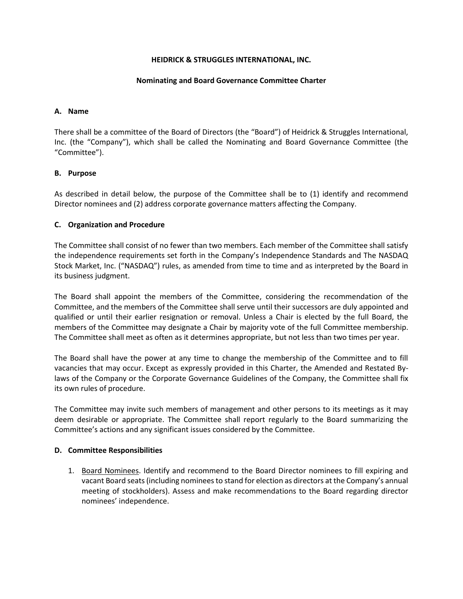# **HEIDRICK & STRUGGLES INTERNATIONAL, INC.**

#### **Nominating and Board Governance Committee Charter**

#### **A. Name**

There shall be a committee of the Board of Directors (the "Board") of Heidrick & Struggles International, Inc. (the "Company"), which shall be called the Nominating and Board Governance Committee (the "Committee").

## **B. Purpose**

As described in detail below, the purpose of the Committee shall be to (1) identify and recommend Director nominees and (2) address corporate governance matters affecting the Company.

## **C. Organization and Procedure**

The Committee shall consist of no fewer than two members. Each member of the Committee shall satisfy the independence requirements set forth in the Company's Independence Standards and The NASDAQ Stock Market, Inc. ("NASDAQ") rules, as amended from time to time and as interpreted by the Board in its business judgment.

The Board shall appoint the members of the Committee, considering the recommendation of the Committee, and the members of the Committee shall serve until their successors are duly appointed and qualified or until their earlier resignation or removal. Unless a Chair is elected by the full Board, the members of the Committee may designate a Chair by majority vote of the full Committee membership. The Committee shall meet as often as it determines appropriate, but not less than two times per year.

The Board shall have the power at any time to change the membership of the Committee and to fill vacancies that may occur. Except as expressly provided in this Charter, the Amended and Restated Bylaws of the Company or the Corporate Governance Guidelines of the Company, the Committee shall fix its own rules of procedure.

The Committee may invite such members of management and other persons to its meetings as it may deem desirable or appropriate. The Committee shall report regularly to the Board summarizing the Committee's actions and any significant issues considered by the Committee.

#### **D. Committee Responsibilities**

1. Board Nominees. Identify and recommend to the Board Director nominees to fill expiring and vacant Board seats (including nominees to stand for election as directors at the Company's annual meeting of stockholders). Assess and make recommendations to the Board regarding director nominees' independence.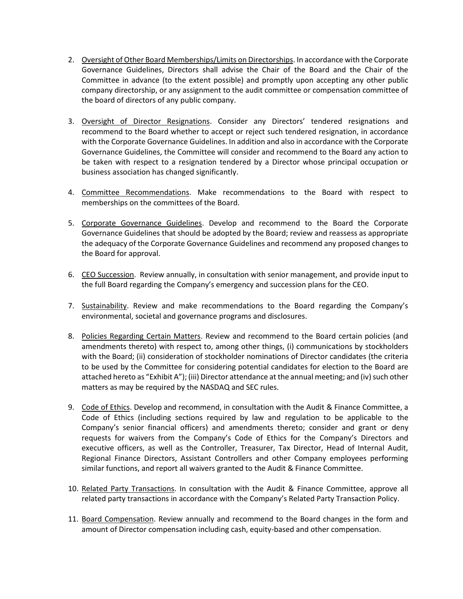- 2. Oversight of Other Board Memberships/Limits on Directorships. In accordance with the Corporate Governance Guidelines, Directors shall advise the Chair of the Board and the Chair of the Committee in advance (to the extent possible) and promptly upon accepting any other public company directorship, or any assignment to the audit committee or compensation committee of the board of directors of any public company.
- 3. Oversight of Director Resignations. Consider any Directors' tendered resignations and recommend to the Board whether to accept or reject such tendered resignation, in accordance with the Corporate Governance Guidelines. In addition and also in accordance with the Corporate Governance Guidelines, the Committee will consider and recommend to the Board any action to be taken with respect to a resignation tendered by a Director whose principal occupation or business association has changed significantly.
- 4. Committee Recommendations. Make recommendations to the Board with respect to memberships on the committees of the Board.
- 5. Corporate Governance Guidelines. Develop and recommend to the Board the Corporate Governance Guidelines that should be adopted by the Board; review and reassess as appropriate the adequacy of the Corporate Governance Guidelines and recommend any proposed changes to the Board for approval.
- 6. CEO Succession. Review annually, in consultation with senior management, and provide input to the full Board regarding the Company's emergency and succession plans for the CEO.
- 7. Sustainability. Review and make recommendations to the Board regarding the Company's environmental, societal and governance programs and disclosures.
- 8. Policies Regarding Certain Matters. Review and recommend to the Board certain policies (and amendments thereto) with respect to, among other things, (i) communications by stockholders with the Board; (ii) consideration of stockholder nominations of Director candidates (the criteria to be used by the Committee for considering potential candidates for election to the Board are attached hereto as "Exhibit A"); (iii) Director attendance at the annual meeting; and (iv) such other matters as may be required by the NASDAQ and SEC rules.
- 9. Code of Ethics. Develop and recommend, in consultation with the Audit & Finance Committee, a Code of Ethics (including sections required by law and regulation to be applicable to the Company's senior financial officers) and amendments thereto; consider and grant or deny requests for waivers from the Company's Code of Ethics for the Company's Directors and executive officers, as well as the Controller, Treasurer, Tax Director, Head of Internal Audit, Regional Finance Directors, Assistant Controllers and other Company employees performing similar functions, and report all waivers granted to the Audit & Finance Committee.
- 10. Related Party Transactions. In consultation with the Audit & Finance Committee, approve all related party transactions in accordance with the Company's Related Party Transaction Policy.
- 11. Board Compensation. Review annually and recommend to the Board changes in the form and amount of Director compensation including cash, equity-based and other compensation.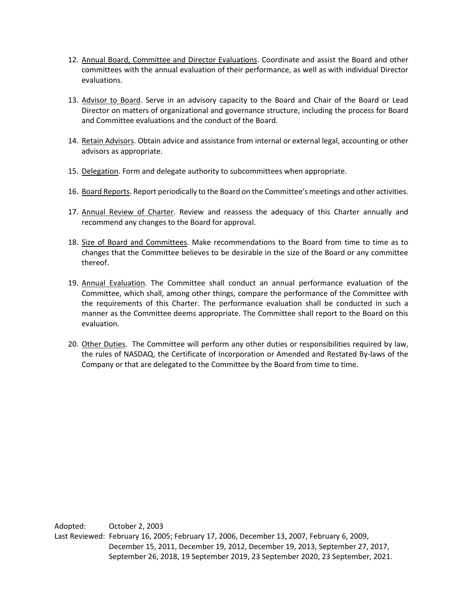- 12. Annual Board, Committee and Director Evaluations. Coordinate and assist the Board and other committees with the annual evaluation of their performance, as well as with individual Director evaluations.
- 13. Advisor to Board. Serve in an advisory capacity to the Board and Chair of the Board or Lead Director on matters of organizational and governance structure, including the process for Board and Committee evaluations and the conduct of the Board.
- 14. Retain Advisors. Obtain advice and assistance from internal or external legal, accounting or other advisors as appropriate.
- 15. Delegation. Form and delegate authority to subcommittees when appropriate.
- 16. Board Reports. Report periodically to the Board on the Committee's meetings and other activities.
- 17. Annual Review of Charter. Review and reassess the adequacy of this Charter annually and recommend any changes to the Board for approval.
- 18. Size of Board and Committees. Make recommendations to the Board from time to time as to changes that the Committee believes to be desirable in the size of the Board or any committee thereof.
- 19. Annual Evaluation. The Committee shall conduct an annual performance evaluation of the Committee, which shall, among other things, compare the performance of the Committee with the requirements of this Charter. The performance evaluation shall be conducted in such a manner as the Committee deems appropriate. The Committee shall report to the Board on this evaluation.
- 20. Other Duties. The Committee will perform any other duties or responsibilities required by law, the rules of NASDAQ, the Certificate of Incorporation or Amended and Restated By-laws of the Company or that are delegated to the Committee by the Board from time to time.

Adopted: October 2, 2003 Last Reviewed: February 16, 2005; February 17, 2006, December 13, 2007, February 6, 2009, December 15, 2011, December 19, 2012, December 19, 2013, September 27, 2017, September 26, 2018, 19 September 2019, 23 September 2020, 23 September, 2021.